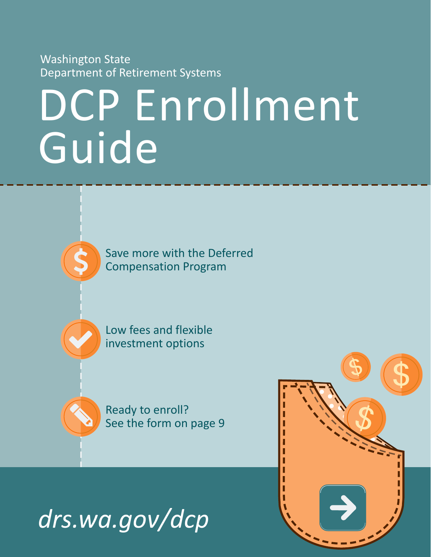Washington State Department of Retirement Systems

# DCP Enrollment Guide

Save more with the Deferred Compensation Program

Low fees and flexible investment options

Ready to enroll? See the form on page 9



V

\$

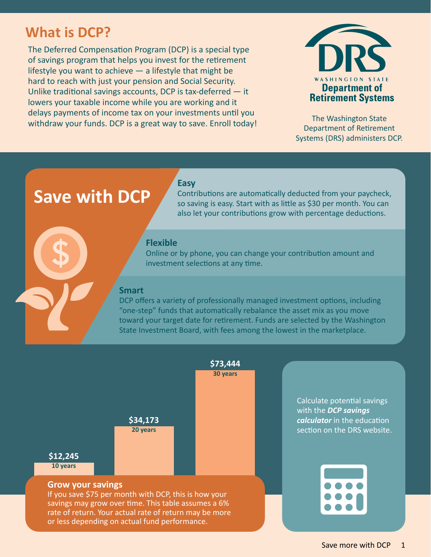## **What is DCP?**

The Deferred Compensation Program (DCP) is a special type of savings program that helps you invest for the retirement lifestyle you want to achieve  $-$  a lifestyle that might be hard to reach with just your pension and Social Security. Unlike traditional savings accounts, DCP is tax-deferred — it lowers your taxable income while you are working and it delays payments of income tax on your investments until you withdraw your funds. DCP is a great way to save. Enroll today!



The Washington State Department of Retirement Systems (DRS) administers DCP.

## **Save with DCP**

Contributions are automatically deducted from your paycheck, so saving is easy. Start with as little as \$30 per month. You can also let your contributions grow with percentage deductions.

## **Flexible**

**Easy**

Online or by phone, you can change your contribution amount and investment selections at any time.

## **Smart**

DCP offers a variety of professionally managed investment options, including "one-step" funds that automatically rebalance the asset mix as you move toward your target date for retirement. Funds are selected by the Washington State Investment Board, with fees among the lowest in the marketplace.

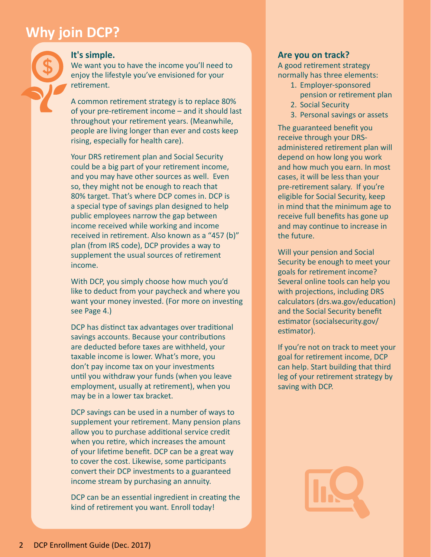## **Why join DCP?**



## **It's simple.**

We want you to have the income you'll need to enjoy the lifestyle you've envisioned for your retirement.

A common retirement strategy is to replace 80% of your pre-retirement income – and it should last throughout your retirement years. (Meanwhile, people are living longer than ever and costs keep rising, especially for health care).

Your DRS retirement plan and Social Security could be a big part of your retirement income, and you may have other sources as well. Even so, they might not be enough to reach that 80% target. That's where DCP comes in. DCP is a special type of savings plan designed to help public employees narrow the gap between income received while working and income received in retirement. Also known as a "457 (b)" plan (from IRS code), DCP provides a way to supplement the usual sources of retirement income.

With DCP, you simply choose how much you'd like to deduct from your paycheck and where you want your money invested. (For more on investing see Page 4.)

DCP has distinct tax advantages over traditional savings accounts. Because your contributions are deducted before taxes are withheld, your taxable income is lower. What's more, you don't pay income tax on your investments until you withdraw your funds (when you leave employment, usually at retirement), when you may be in a lower tax bracket.

DCP savings can be used in a number of ways to supplement your retirement. Many pension plans allow you to purchase additional service credit when you retire, which increases the amount of your lifetime benefit. DCP can be a great way to cover the cost. Likewise, some participants convert their DCP investments to a guaranteed income stream by purchasing an annuity.

DCP can be an essential ingredient in creating the kind of retirement you want. Enroll today!

## **Are you on track?**

A good retirement strategy normally has three elements:

- 1. Employer-sponsored pension or retirement plan
- 2. Social Security
- 3. Personal savings or assets

The guaranteed benefit you receive through your DRSadministered retirement plan will depend on how long you work and how much you earn. In most cases, it will be less than your pre-retirement salary. If you're eligible for Social Security, keep in mind that the minimum age to receive full benefits has gone up and may continue to increase in the future.

Will your pension and Social Security be enough to meet your goals for retirement income? Several online tools can help you with projections, including DRS calculators [\(drs.wa.gov/education\)](http://www.drs.wa.gov/education) and the Social Security benefit estimator [\(socialsecurity.gov/](http://socialsecurity.gov/estimator) [estimator\)](http://socialsecurity.gov/estimator).

If you're not on track to meet your goal for retirement income, DCP can help. Start building that third leg of your retirement strategy by saving with DCP.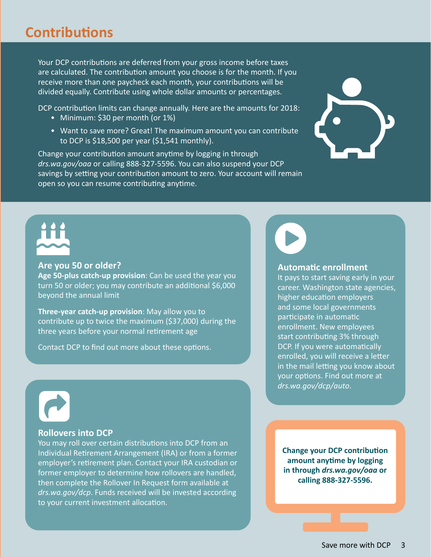## **Contributions**

Your DCP contributions are deferred from your gross income before taxes are calculated. The contribution amount you choose is for the month. If you receive more than one paycheck each month, your contributions will be divided equally. Contribute using whole dollar amounts or percentages.

DCP contribution limits can change annually. Here are the amounts for 2018:

- Minimum: \$30 per month (or 1%)
- Want to save more? Great! The maximum amount you can contribute to DCP is \$18,500 per year (\$1,541 monthly).

Change your contribution amount anytime by logging in through *[drs.wa.gov/oaa](http://www.drs.wa.gov/oaa)* or calling 888-327-5596. You can also suspend your DCP savings by setting your contribution amount to zero. Your account will remain open so you can resume contributing anytime.



#### **Are you 50 or older?**

**Age 50-plus catch-up provision**: Can be used the year you turn 50 or older; you may contribute an additional \$6,000 beyond the annual limit

**Three-year catch-up provision**: May allow you to contribute up to twice the maximum (\$37,000) during the three years before your normal retirement age

Contact DCP to find out more about these options.



#### **Automatic enrollment**

It pays to start saving early in your career. Washington state agencies, higher education employers and some local governments participate in automatic enrollment. New employees start contributing 3% through DCP. If you were automatically enrolled, you will receive a letter in the mail letting you know about your options. Find out more at *[drs.wa.gov/dcp/auto](http://www.drs.wa.gov/dcp/auto)*.



#### **Rollovers into DCP**

You may roll over certain distributions into DCP from an Individual Retirement Arrangement (IRA) or from a former employer's retirement plan. Contact your IRA custodian or former employer to determine how rollovers are handled, then complete the Rollover In Request form available at *[drs.wa.gov/dcp](http://www.drs.wa.gov/dcp/assets/rollover.pdf)*. Funds received will be invested according to your current investment allocation.

**Change your DCP contribution amount anytime by logging in through** *[drs.wa.gov/oaa](http://www.drs.wa.gov/oaa)* **or calling 888-327-5596.**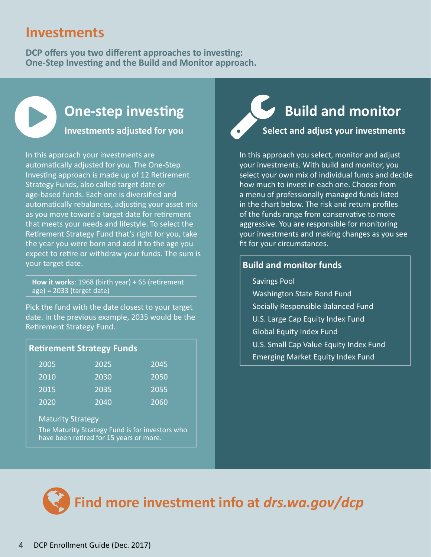## **Investments**

**DCP offers you two different approaches to investing: One-Step Investing and the Build and Monitor approach.**



**Investments adjusted for you**

In this approach your investments are automatically adjusted for you. The One-Step Investing approach is made up of 12 Retirement Strategy Funds, also called target date or age-based funds. Each one is diversified and automatically rebalances, adjusting your asset mix as you move toward a target date for retirement that meets your needs and lifestyle. To select the Retirement Strategy Fund that's right for you, take the year you were born and add it to the age you expect to retire or withdraw your funds. The sum is your target date.

**How it works**: 1968 (birth year) + 65 (retirement age) = 2033 (target date)

Pick the fund with the date closest to your target date. In the previous example, 2035 would be the Retirement Strategy Fund.

| <b>Retirement Strategy Funds</b> |
|----------------------------------|
|----------------------------------|

| 2005 | 2025 | 2045 |
|------|------|------|
| 2010 | 2030 | 2050 |
| 2015 | 2035 | 2055 |
| 2020 | 2040 | 2060 |

## Maturity Strategy

The Maturity Strategy Fund is for investors who have been retired for 15 years or more.

## **Select and adjust your investments**

In this approach you select, monitor and adjust your investments. With build and monitor, you select your own mix of individual funds and decide how much to invest in each one. Choose from a menu of professionally managed funds listed in the chart below. The risk and return profiles of the funds range from conservative to more aggressive. You are responsible for monitoring your investments and making changes as you see fit for your circumstances.

## **Build and monitor funds**

Savings Pool

- Washington State Bond Fund
- Socially Responsible Balanced Fund
- U.S. Large Cap Equity Index Fund
- Global Equity Index Fund
- U.S. Small Cap Value Equity Index Fund
- Emerging Market Equity Index Fund

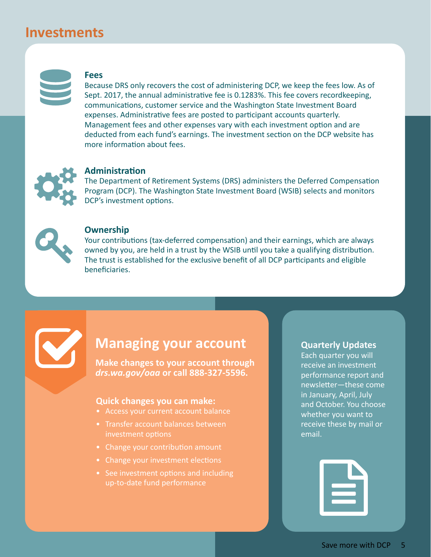## **Investments**



#### **Fees**

Because DRS only recovers the cost of administering DCP, we keep the fees low. As of Sept. 2017, the annual administrative fee is 0.1283%. This fee covers recordkeeping, communications, customer service and the Washington State Investment Board expenses. Administrative fees are posted to participant accounts quarterly. Management fees and other expenses vary with each investment option and are deducted from each fund's earnings. The investment section on the DCP website has more information about fees.



## **Administration**

The Department of Retirement Systems (DRS) administers the Deferred Compensation Program (DCP). The Washington State Investment Board (WSIB) selects and monitors DCP's investment options.



#### **Ownership**

Your contributions (tax-deferred compensation) and their earnings, which are always owned by you, are held in a trust by the WSIB until you take a qualifying distribution. The trust is established for the exclusive benefit of all DCP participants and eligible beneficiaries.



## **Managing your account**

**Make changes to your account through**  *[drs.wa.gov/oaa](http://www.drs.wa.gov/oaa)* **or call 888-327-5596.**

#### **Quick changes you can make:**

- Access your current account balance
- Transfer account balances between investment options
- Change your contribution amount
- Change your investment elections
- See investment options and including up-to-date fund performance

#### **Quarterly Updates**

Each quarter you will receive an investment performance report and newsletter—these come in January, April, July and October. You choose whether you want to receive these by mail or email.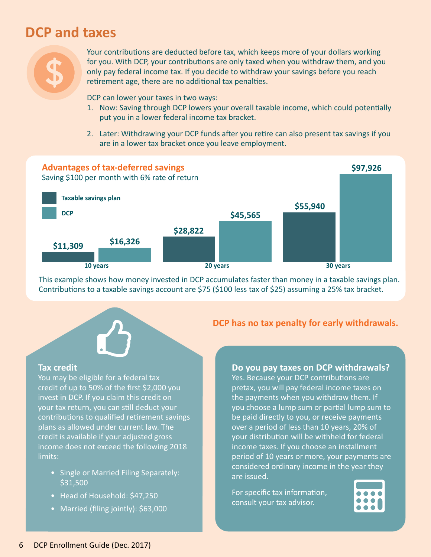## **DCP and taxes**



Your contributions are deducted before tax, which keeps more of your dollars working for you. With DCP, your contributions are only taxed when you withdraw them, and you only pay federal income tax. If you decide to withdraw your savings before you reach retirement age, there are no additional tax penalties.

DCP can lower your taxes in two ways:

- 1. Now: Saving through DCP lowers your overall taxable income, which could potentially put you in a lower federal income tax bracket.
- 2. Later: Withdrawing your DCP funds after you retire can also present tax savings if you are in a lower tax bracket once you leave employment.



This example shows how money invested in DCP accumulates faster than money in a taxable savings plan. Contributions to a taxable savings account are \$75 (\$100 less tax of \$25) assuming a 25% tax bracket.



#### **Tax credit**

You may be eligible for a federal tax credit of up to 50% of the first \$2,000 you invest in DCP. If you claim this credit on your tax return, you can still deduct your contributions to qualified retirement savings plans as allowed under current law. The credit is available if your adjusted gross income does not exceed the following 2018 limits:

- Single or Married Filing Separately: \$31,500
- Head of Household: \$47,250
- Married (filing jointly): \$63,000

## **DCP has no tax penalty for early withdrawals.**

## **Do you pay taxes on DCP withdrawals?**

Yes. Because your DCP contributions are pretax, you will pay federal income taxes on the payments when you withdraw them. If you choose a lump sum or partial lump sum to be paid directly to you, or receive payments over a period of less than 10 years, 20% of your distribution will be withheld for federal income taxes. If you choose an installment period of 10 years or more, your payments are considered ordinary income in the year they are issued.

For specific tax information, consult your tax advisor.

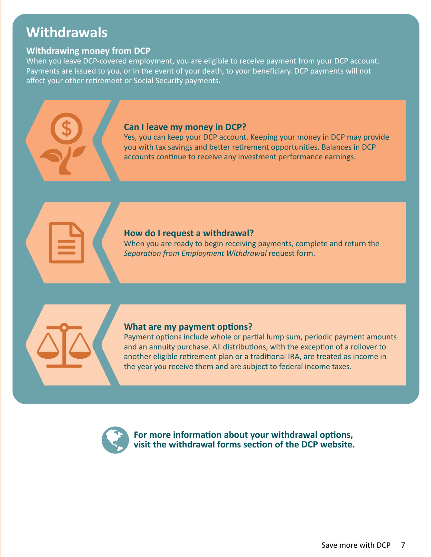## **Withdrawals**

## **Withdrawing money from DCP**

When you leave DCP-covered employment, you are eligible to receive payment from your DCP account. Payments are issued to you, or in the event of your death, to your beneficiary. DCP payments will not affect your other retirement or Social Security payments.

## **Can I leave my money in DCP?**

Yes, you can keep your DCP account. Keeping your money in DCP may provide you with tax savings and better retirement opportunities. Balances in DCP accounts continue to receive any investment performance earnings.

## **How do I request a withdrawal?**

When you are ready to begin receiving payments, complete and return the *[Separation from Employment Withdrawal](https://savewithwa.empower-retirement.com/preLoginContentLink.do?accu=DRSWR&contentUrl=preLogin.Tab3.F&specificBundle=preLogin)* request form.



## **What are my payment options?**

Payment options include whole or partial lump sum, periodic payment amounts and an annuity purchase. All distributions, with the exception of a rollover to another eligible retirement plan or a traditional IRA, are treated as income in the year you receive them and are subject to federal income taxes.



**For more information about your withdrawal options, visit the withdrawal forms section of the [DCP website.](https://savewithwa.empower-retirement.com/preLoginContentLink.do?accu=DRSWR&contentUrl=preLogin.Tab3.F&specificBundle=preLogin)**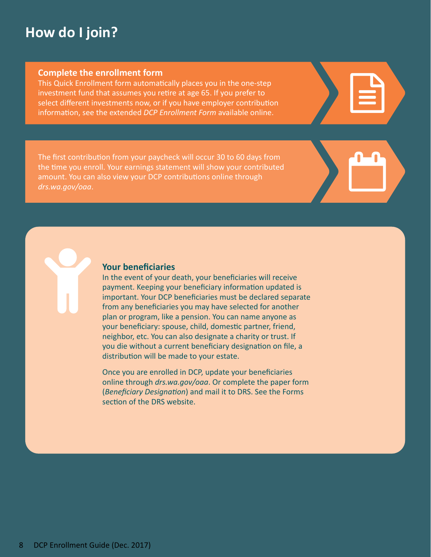## **How do I join?**

## **Complete the enrollment form**

This Quick Enrollment form automatically places you in the one-step investment fund that assumes you retire at age 65. If you prefer to select different investments now, or if you have employer contribution information, see the extended *[DCP Enrollment Form](http://www.drs.wa.gov/dcp/assets/ParticipationAgreement.pdf)* available online.

The first contribution from your paycheck will occur 30 to 60 days from the time you enroll. Your earnings statement will show your contributed amount. You can also view your DCP contributions online through *[drs.wa.gov/oaa](http://www.drs.wa.gov/oaa)*.

## **Your beneficiaries**

In the event of your death, your beneficiaries will receive payment. Keeping your beneficiary information updated is important. Your DCP beneficiaries must be declared separate from any beneficiaries you may have selected for another plan or program, like a pension. You can name anyone as your beneficiary: spouse, child, domestic partner, friend, neighbor, etc. You can also designate a charity or trust. If you die without a current beneficiary designation on file, a distribution will be made to your estate.

Once you are enrolled in DCP, update your beneficiaries online through *[drs.wa.gov/oaa](http://www.drs.wa.gov/oaa)*. Or complete the paper form (*[Beneficiary Designation](http://www.drs.wa.gov/forms/member/beneficiaryDesignationForm.pdf)*) and mail it to DRS. See the Forms section of the DRS website.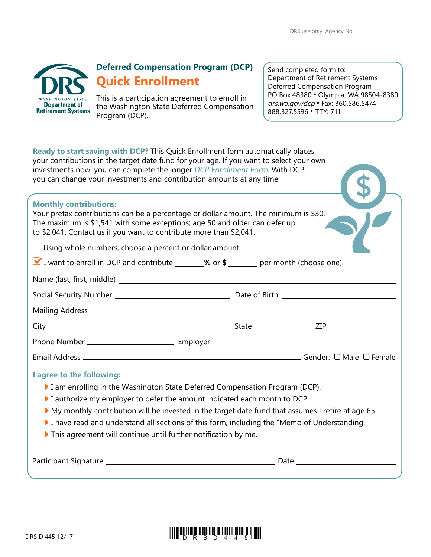| <b>WASHINGTON STATE</b><br><b>Department of<br/>Retirement Systems</b> |  |  |  |  |
|------------------------------------------------------------------------|--|--|--|--|
|                                                                        |  |  |  |  |

## **Deferred Compensation Program (DCP) Quick Enrollment**

This is a participation agreement to enroll in the Washington State Deferred Compensation Program (DCP).

Send completed form to: Department of Retirement Systems Deferred Compensation Program PO Box 48380 • Olympia, WA 98504-8380 drs.wa.gov/dcp ꔷ Fax: 360.586.5474 888.327.5596 ꔷ TTY: 711

| Ready to start saving with DCP? This Quick Enrollment form automatically places<br>your contributions in the target date fund for your age. If you want to select your own<br>investments now, you can complete the longer DCP Enrollment Form. With DCP,<br>you can change your investments and contribution amounts at any time.                                                                                                                          |  |
|-------------------------------------------------------------------------------------------------------------------------------------------------------------------------------------------------------------------------------------------------------------------------------------------------------------------------------------------------------------------------------------------------------------------------------------------------------------|--|
| <b>Monthly contributions:</b><br>Your pretax contributions can be a percentage or dollar amount. The minimum is \$30.<br>The maximum is \$1,541 with some exceptions; age 50 and older can defer up<br>to \$2,041. Contact us if you want to contribute more than \$2,041.                                                                                                                                                                                  |  |
| Using whole numbers, choose a percent or dollar amount:                                                                                                                                                                                                                                                                                                                                                                                                     |  |
| ■ I want to enroll in DCP and contribute _______% or \$ _______ per month (choose one).                                                                                                                                                                                                                                                                                                                                                                     |  |
|                                                                                                                                                                                                                                                                                                                                                                                                                                                             |  |
|                                                                                                                                                                                                                                                                                                                                                                                                                                                             |  |
|                                                                                                                                                                                                                                                                                                                                                                                                                                                             |  |
|                                                                                                                                                                                                                                                                                                                                                                                                                                                             |  |
|                                                                                                                                                                                                                                                                                                                                                                                                                                                             |  |
|                                                                                                                                                                                                                                                                                                                                                                                                                                                             |  |
| I agree to the following:<br>I am enrolling in the Washington State Deferred Compensation Program (DCP).<br>I authorize my employer to defer the amount indicated each month to DCP.<br>My monthly contribution will be invested in the target date fund that assumes I retire at age 65.<br>I have read and understand all sections of this form, including the "Memo of Understanding."<br>This agreement will continue until further notification by me. |  |
|                                                                                                                                                                                                                                                                                                                                                                                                                                                             |  |

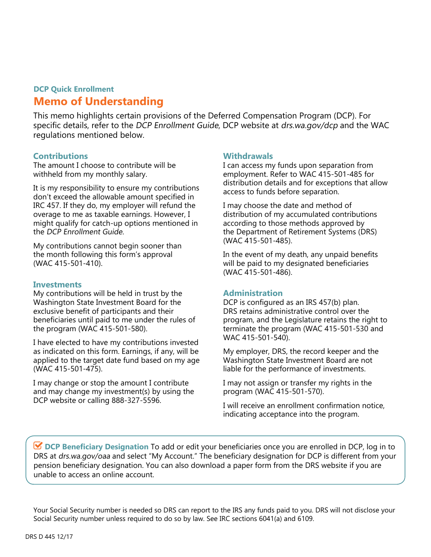## **DCP Quick Enrollment Memo of Understanding**

This memo highlights certain provisions of the Deferred Compensation Program (DCP). For specific details, refer to the DCP Enrollment Guide, DCP website at drs.wa.gov/dcp and the WAC regulations mentioned below.

## **Contributions**

The amount I choose to contribute will be withheld from my monthly salary.

It is my responsibility to ensure my contributions don't exceed the allowable amount specified in IRC 457. If they do, my employer will refund the overage to me as taxable earnings. However, I might qualify for catch-up options mentioned in the DCP Enrollment Guide.

My contributions cannot begin sooner than the month following this form's approval (WAC 415-501-410).

#### **Investments**

My contributions will be held in trust by the Washington State Investment Board for the exclusive benefit of participants and their beneficiaries until paid to me under the rules of the program (WAC 415-501-580).

I have elected to have my contributions invested as indicated on this form. Earnings, if any, will be applied to the target date fund based on my age (WAC 415-501-475).

I may change or stop the amount I contribute and may change my investment(s) by using the DCP website or calling 888-327-5596.

## **Withdrawals**

I can access my funds upon separation from employment. Refer to WAC 415-501-485 for distribution details and for exceptions that allow access to funds before separation.

I may choose the date and method of distribution of my accumulated contributions according to those methods approved by the Department of Retirement Systems (DRS) (WAC 415-501-485).

In the event of my death, any unpaid benefits will be paid to my designated beneficiaries (WAC 415-501-486).

## **Administration**

DCP is configured as an IRS 457(b) plan. DRS retains administrative control over the program, and the Legislature retains the right to terminate the program (WAC 415-501-530 and WAC 415-501-540).

My employer, DRS, the record keeper and the Washington State Investment Board are not liable for the performance of investments.

I may not assign or transfer my rights in the program (WAC 415-501-570).

I will receive an enrollment confirmation notice, indicating acceptance into the program.

**DCP Beneficiary Designation** To add or edit your beneficiaries once you are enrolled in DCP, log in to DRS at drs.wa.gov/oaa and select "My Account." The beneficiary designation for DCP is different from your pension beneficiary designation. You can also download a paper form from the DRS website if you are unable to access an online account.

Your Social Security number is needed so DRS can report to the IRS any funds paid to you. DRS will not disclose your Social Security number unless required to do so by law. See IRC sections 6041(a) and 6109.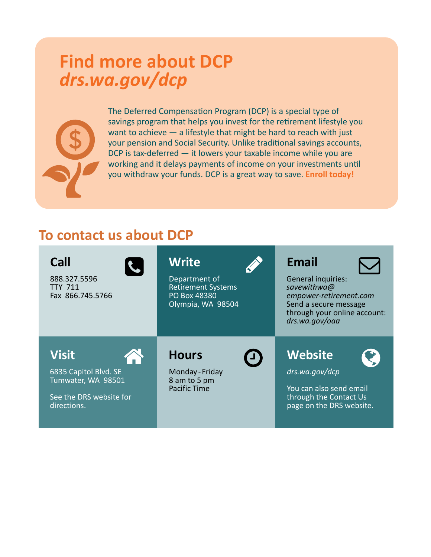## **Find more about DCP**  *[drs.wa.gov/dcp](http://www.drs.wa.gov/dcp)*



The Deferred Compensation Program (DCP) is a special type of savings program that helps you invest for the retirement lifestyle you want to achieve  $-$  a lifestyle that might be hard to reach with just your pension and Social Security. Unlike traditional savings accounts, DCP is tax-deferred — it lowers your taxable income while you are working and it delays payments of income on your investments until you withdraw your funds. DCP is a great way to save. **Enroll today!**

## **To contact us about DCP**

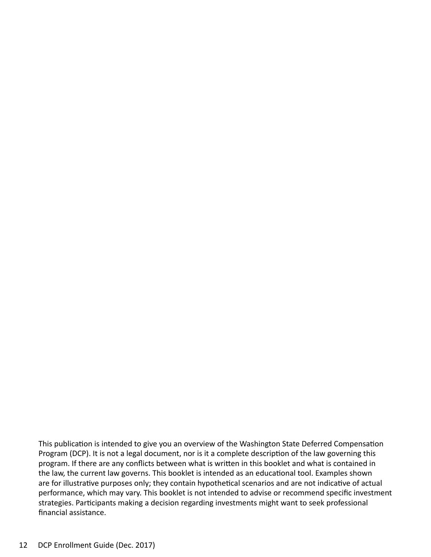This publication is intended to give you an overview of the Washington State Deferred Compensation Program (DCP). It is not a legal document, nor is it a complete description of the law governing this program. If there are any conflicts between what is written in this booklet and what is contained in the law, the current law governs. This booklet is intended as an educational tool. Examples shown are for illustrative purposes only; they contain hypothetical scenarios and are not indicative of actual performance, which may vary. This booklet is not intended to advise or recommend specific investment strategies. Participants making a decision regarding investments might want to seek professional financial assistance.